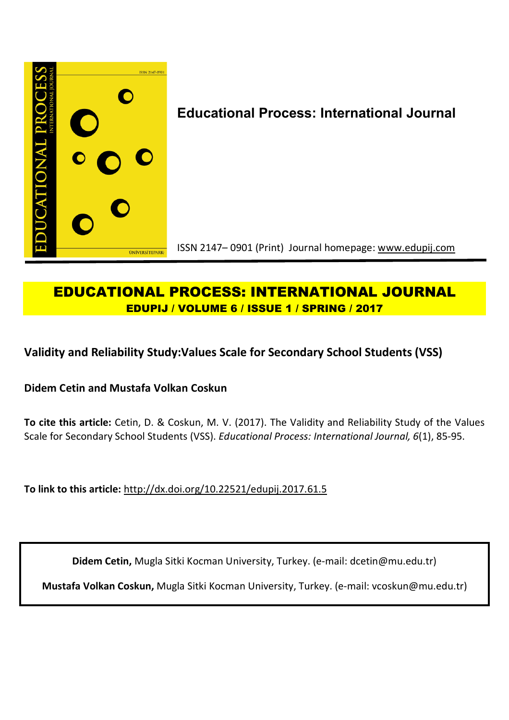

# **EDUCATIONAL PROCESS: INTERNATIONAL JOURNAL EDUPIJ / VOLUME 6 / ISSUE 1 / SPRING / 2017**

**Validity and Reliability Study:Values Scale for Secondary School Students (VSS)**

**Didem Cetin and Mustafa Volkan Coskun**

**To cite this article:** Cetin, D. & Coskun, M. V. (2017). The Validity and Reliability Study of the Values Scale for Secondary School Students (VSS). *Educational Process: International Journal, 6*(1), 85-95.

**To link to this article:** http://dx.doi.org/10.22521/edupij.2017.61.5

**Didem Cetin,** Mugla Sitki Kocman University, Turkey. (e-mail: dcetin@mu.edu.tr)

**Mustafa Volkan Coskun,** Mugla Sitki Kocman University, Turkey. (e-mail: vcoskun@mu.edu.tr)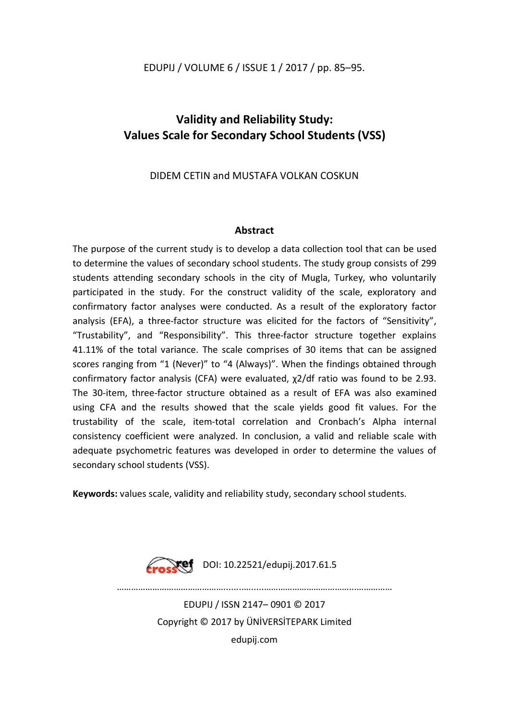## **Validity and Reliability Study: Values Scale for Secondary School Students (VSS)**

## DIDEM CETIN and MUSTAFA VOLKAN COSKUN

## **Abstract**

The purpose of the current study is to develop a data collection tool that can be used to determine the values of secondary school students. The study group consists of 299 students attending secondary schools in the city of Mugla, Turkey, who voluntarily participated in the study. For the construct validity of the scale, exploratory and confirmatory factor analyses were conducted. As a result of the exploratory factor analysis (EFA), a three-factor structure was elicited for the factors of "Sensitivity", "Trustability", and "Responsibility". This three-factor structure together explains 41.11% of the total variance. The scale comprises of 30 items that can be assigned scores ranging from "1 (Never)" to "4 (Always)". When the findings obtained through confirmatory factor analysis (CFA) were evaluated, χ2/df ratio was found to be 2.93. The 30-item, three-factor structure obtained as a result of EFA was also examined using CFA and the results showed that the scale yields good fit values. For the trustability of the scale, item-total correlation and Cronbach's Alpha internal consistency coefficient were analyzed. In conclusion, a valid and reliable scale with adequate psychometric features was developed in order to determine the values of secondary school students (VSS).

**Keywords:** values scale, validity and reliability study, secondary school students.



EDUPIJ / ISSN 2147– 0901 © 2017 Copyright © 2017 by ÜNİVERSİTEPARK Limited edupij.com

………………………………………........….....………………………………...……………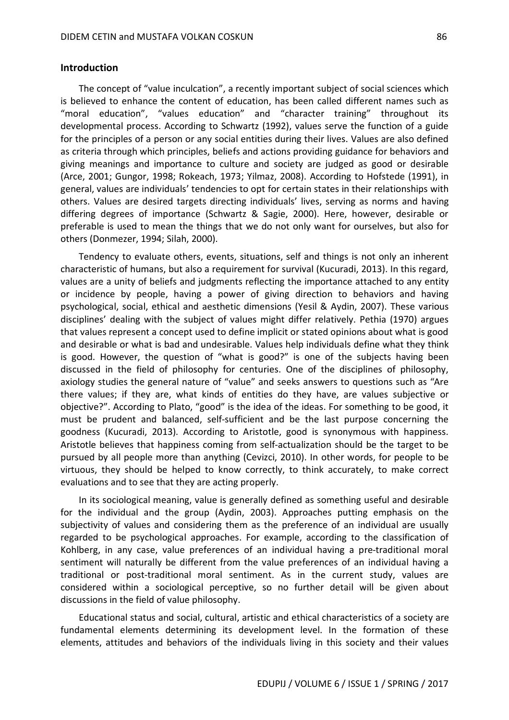The concept of "value inculcation", a recently important subject of social sciences which is believed to enhance the content of education, has been called different names such as "moral education", "values education" and "character training" throughout its developmental process. According to Schwartz (1992), values serve the function of a guide for the principles of a person or any social entities during their lives. Values are also defined as criteria through which principles, beliefs and actions providing guidance for behaviors and giving meanings and importance to culture and society are judged as good or desirable (Arce, 2001; Gungor, 1998; Rokeach, 1973; Yilmaz, 2008). According to Hofstede (1991), in general, values are individuals' tendencies to opt for certain states in their relationships with others. Values are desired targets directing individuals' lives, serving as norms and having differing degrees of importance (Schwartz & Sagie, 2000). Here, however, desirable or preferable is used to mean the things that we do not only want for ourselves, but also for others (Donmezer, 1994; Silah, 2000).

Tendency to evaluate others, events, situations, self and things is not only an inherent characteristic of humans, but also a requirement for survival (Kucuradi, 2013). In this regard, values are a unity of beliefs and judgments reflecting the importance attached to any entity or incidence by people, having a power of giving direction to behaviors and having psychological, social, ethical and aesthetic dimensions (Yesil & Aydin, 2007). These various disciplines' dealing with the subject of values might differ relatively. Pethia (1970) argues that values represent a concept used to define implicit or stated opinions about what is good and desirable or what is bad and undesirable. Values help individuals define what they think is good. However, the question of "what is good?" is one of the subjects having been discussed in the field of philosophy for centuries. One of the disciplines of philosophy, axiology studies the general nature of "value" and seeks answers to questions such as "Are there values; if they are, what kinds of entities do they have, are values subjective or objective?". According to Plato, "good" is the idea of the ideas. For something to be good, it must be prudent and balanced, self-sufficient and be the last purpose concerning the goodness (Kucuradi, 2013). According to Aristotle, good is synonymous with happiness. Aristotle believes that happiness coming from self-actualization should be the target to be pursued by all people more than anything (Cevizci, 2010). In other words, for people to be virtuous, they should be helped to know correctly, to think accurately, to make correct evaluations and to see that they are acting properly.

In its sociological meaning, value is generally defined as something useful and desirable for the individual and the group (Aydin, 2003). Approaches putting emphasis on the subjectivity of values and considering them as the preference of an individual are usually regarded to be psychological approaches. For example, according to the classification of Kohlberg, in any case, value preferences of an individual having a pre-traditional moral sentiment will naturally be different from the value preferences of an individual having a traditional or post-traditional moral sentiment. As in the current study, values are considered within a sociological perceptive, so no further detail will be given about discussions in the field of value philosophy.

Educational status and social, cultural, artistic and ethical characteristics of a society are fundamental elements determining its development level. In the formation of these elements, attitudes and behaviors of the individuals living in this society and their values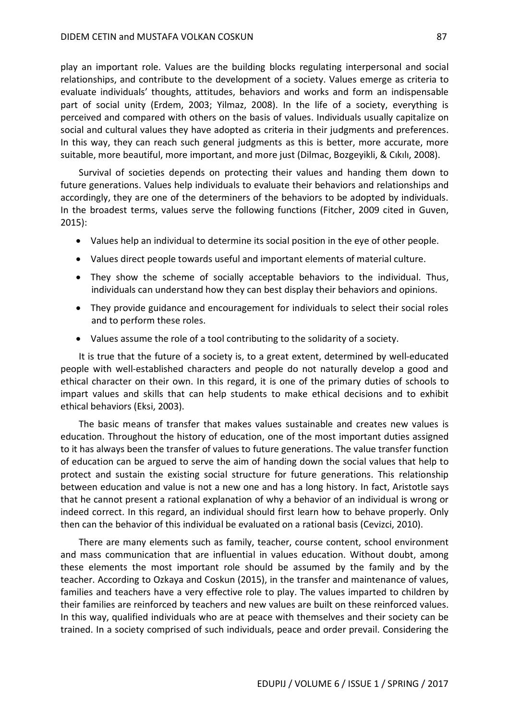play an important role. Values are the building blocks regulating interpersonal and social relationships, and contribute to the development of a society. Values emerge as criteria to evaluate individuals' thoughts, attitudes, behaviors and works and form an indispensable part of social unity (Erdem, 2003; Yilmaz, 2008). In the life of a society, everything is perceived and compared with others on the basis of values. Individuals usually capitalize on social and cultural values they have adopted as criteria in their judgments and preferences. In this way, they can reach such general judgments as this is better, more accurate, more suitable, more beautiful, more important, and more just (Dilmac, Bozgeyikli, & Cıkılı, 2008).

Survival of societies depends on protecting their values and handing them down to future generations. Values help individuals to evaluate their behaviors and relationships and accordingly, they are one of the determiners of the behaviors to be adopted by individuals. In the broadest terms, values serve the following functions (Fitcher, 2009 cited in Guven, 2015):

- Values help an individual to determine its social position in the eye of other people.
- Values direct people towards useful and important elements of material culture.
- They show the scheme of socially acceptable behaviors to the individual. Thus, individuals can understand how they can best display their behaviors and opinions.
- They provide guidance and encouragement for individuals to select their social roles and to perform these roles.
- Values assume the role of a tool contributing to the solidarity of a society.

It is true that the future of a society is, to a great extent, determined by well-educated people with well-established characters and people do not naturally develop a good and ethical character on their own. In this regard, it is one of the primary duties of schools to impart values and skills that can help students to make ethical decisions and to exhibit ethical behaviors (Eksi, 2003).

The basic means of transfer that makes values sustainable and creates new values is education. Throughout the history of education, one of the most important duties assigned to it has always been the transfer of values to future generations. The value transfer function of education can be argued to serve the aim of handing down the social values that help to protect and sustain the existing social structure for future generations. This relationship between education and value is not a new one and has a long history. In fact, Aristotle says that he cannot present a rational explanation of why a behavior of an individual is wrong or indeed correct. In this regard, an individual should first learn how to behave properly. Only then can the behavior of this individual be evaluated on a rational basis (Cevizci, 2010).

There are many elements such as family, teacher, course content, school environment and mass communication that are influential in values education. Without doubt, among these elements the most important role should be assumed by the family and by the teacher. According to Ozkaya and Coskun (2015), in the transfer and maintenance of values, families and teachers have a very effective role to play. The values imparted to children by their families are reinforced by teachers and new values are built on these reinforced values. In this way, qualified individuals who are at peace with themselves and their society can be trained. In a society comprised of such individuals, peace and order prevail. Considering the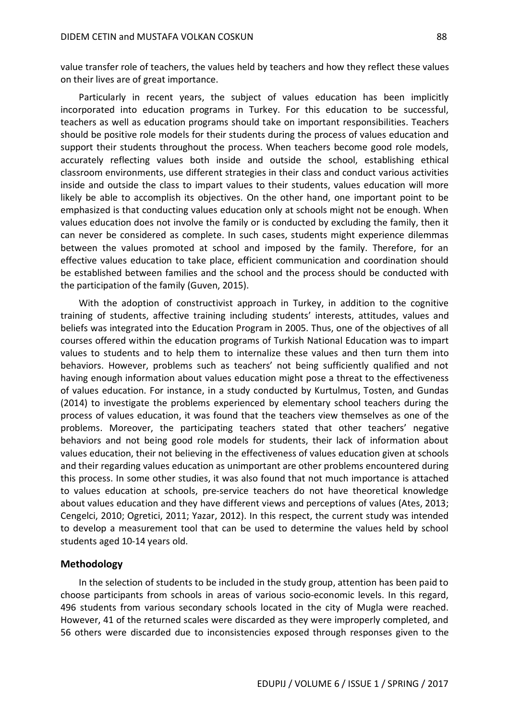value transfer role of teachers, the values held by teachers and how they reflect these values on their lives are of great importance.

Particularly in recent years, the subject of values education has been implicitly incorporated into education programs in Turkey. For this education to be successful, teachers as well as education programs should take on important responsibilities. Teachers should be positive role models for their students during the process of values education and support their students throughout the process. When teachers become good role models, accurately reflecting values both inside and outside the school, establishing ethical classroom environments, use different strategies in their class and conduct various activities inside and outside the class to impart values to their students, values education will more likely be able to accomplish its objectives. On the other hand, one important point to be emphasized is that conducting values education only at schools might not be enough. When values education does not involve the family or is conducted by excluding the family, then it can never be considered as complete. In such cases, students might experience dilemmas between the values promoted at school and imposed by the family. Therefore, for an effective values education to take place, efficient communication and coordination should be established between families and the school and the process should be conducted with the participation of the family (Guven, 2015).

With the adoption of constructivist approach in Turkey, in addition to the cognitive training of students, affective training including students' interests, attitudes, values and beliefs was integrated into the Education Program in 2005. Thus, one of the objectives of all courses offered within the education programs of Turkish National Education was to impart values to students and to help them to internalize these values and then turn them into behaviors. However, problems such as teachers' not being sufficiently qualified and not having enough information about values education might pose a threat to the effectiveness of values education. For instance, in a study conducted by Kurtulmus, Tosten, and Gundas (2014) to investigate the problems experienced by elementary school teachers during the process of values education, it was found that the teachers view themselves as one of the problems. Moreover, the participating teachers stated that other teachers' negative behaviors and not being good role models for students, their lack of information about values education, their not believing in the effectiveness of values education given at schools and their regarding values education as unimportant are other problems encountered during this process. In some other studies, it was also found that not much importance is attached to values education at schools, pre-service teachers do not have theoretical knowledge about values education and they have different views and perceptions of values (Ates, 2013; Cengelci, 2010; Ogretici, 2011; Yazar, 2012). In this respect, the current study was intended to develop a measurement tool that can be used to determine the values held by school students aged 10-14 years old.

#### **Methodology**

In the selection of students to be included in the study group, attention has been paid to choose participants from schools in areas of various socio-economic levels. In this regard, 496 students from various secondary schools located in the city of Mugla were reached. However, 41 of the returned scales were discarded as they were improperly completed, and 56 others were discarded due to inconsistencies exposed through responses given to the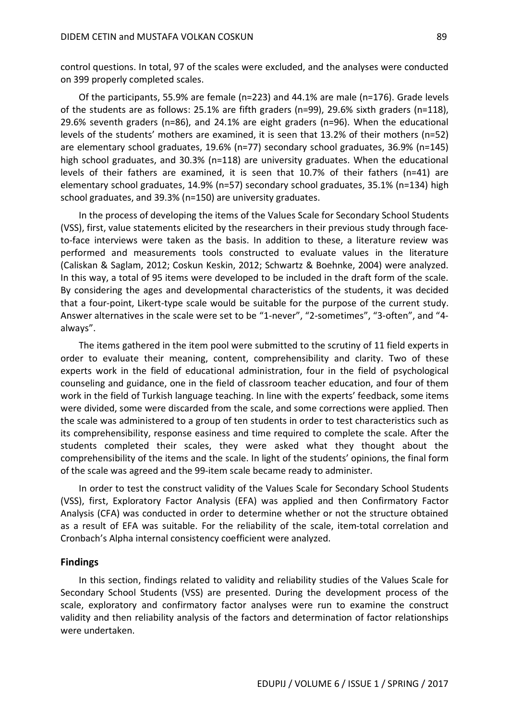control questions. In total, 97 of the scales were excluded, and the analyses were conducted on 399 properly completed scales.

Of the participants, 55.9% are female (n=223) and 44.1% are male (n=176). Grade levels of the students are as follows: 25.1% are fifth graders (n=99), 29.6% sixth graders (n=118), 29.6% seventh graders (n=86), and 24.1% are eight graders (n=96). When the educational levels of the students' mothers are examined, it is seen that 13.2% of their mothers (n=52) are elementary school graduates, 19.6% (n=77) secondary school graduates, 36.9% (n=145) high school graduates, and 30.3% (n=118) are university graduates. When the educational levels of their fathers are examined, it is seen that 10.7% of their fathers (n=41) are elementary school graduates, 14.9% (n=57) secondary school graduates, 35.1% (n=134) high school graduates, and 39.3% (n=150) are university graduates.

In the process of developing the items of the Values Scale for Secondary School Students (VSS), first, value statements elicited by the researchers in their previous study through faceto-face interviews were taken as the basis. In addition to these, a literature review was performed and measurements tools constructed to evaluate values in the literature (Caliskan & Saglam, 2012; Coskun Keskin, 2012; Schwartz & Boehnke, 2004) were analyzed. In this way, a total of 95 items were developed to be included in the draft form of the scale. By considering the ages and developmental characteristics of the students, it was decided that a four-point, Likert-type scale would be suitable for the purpose of the current study. Answer alternatives in the scale were set to be "1-never", "2-sometimes", "3-often", and "4 always".

The items gathered in the item pool were submitted to the scrutiny of 11 field experts in order to evaluate their meaning, content, comprehensibility and clarity. Two of these experts work in the field of educational administration, four in the field of psychological counseling and guidance, one in the field of classroom teacher education, and four of them work in the field of Turkish language teaching. In line with the experts' feedback, some items were divided, some were discarded from the scale, and some corrections were applied. Then the scale was administered to a group of ten students in order to test characteristics such as its comprehensibility, response easiness and time required to complete the scale. After the students completed their scales, they were asked what they thought about the comprehensibility of the items and the scale. In light of the students' opinions, the final form of the scale was agreed and the 99-item scale became ready to administer.

In order to test the construct validity of the Values Scale for Secondary School Students (VSS), first, Exploratory Factor Analysis (EFA) was applied and then Confirmatory Factor Analysis (CFA) was conducted in order to determine whether or not the structure obtained as a result of EFA was suitable. For the reliability of the scale, item-total correlation and Cronbach's Alpha internal consistency coefficient were analyzed.

#### **Findings**

In this section, findings related to validity and reliability studies of the Values Scale for Secondary School Students (VSS) are presented. During the development process of the scale, exploratory and confirmatory factor analyses were run to examine the construct validity and then reliability analysis of the factors and determination of factor relationships were undertaken.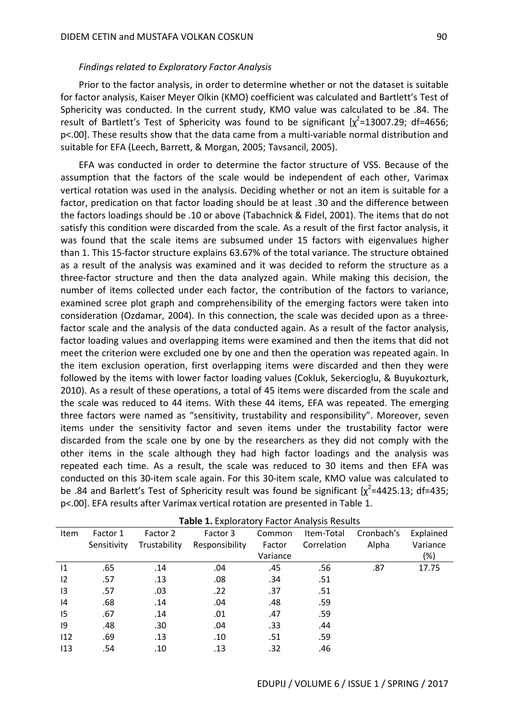#### *Findings related to Exploratory Factor Analysis*

Prior to the factor analysis, in order to determine whether or not the dataset is suitable for factor analysis, Kaiser Meyer Olkin (KMO) coefficient was calculated and Bartlett's Test of Sphericity was conducted. In the current study, KMO value was calculated to be .84. The result of Bartlett's Test of Sphericity was found to be significant  $[\chi^2$ =13007.29; df=4656; p<.00]. These results show that the data came from a multi-variable normal distribution and suitable for EFA (Leech, Barrett, & Morgan, 2005; Tavsancil, 2005).

EFA was conducted in order to determine the factor structure of VSS. Because of the assumption that the factors of the scale would be independent of each other, Varimax vertical rotation was used in the analysis. Deciding whether or not an item is suitable for a factor, predication on that factor loading should be at least .30 and the difference between the factors loadings should be .10 or above (Tabachnick & Fidel, 2001). The items that do not satisfy this condition were discarded from the scale. As a result of the first factor analysis, it was found that the scale items are subsumed under 15 factors with eigenvalues higher than 1. This 15-factor structure explains 63.67% of the total variance. The structure obtained as a result of the analysis was examined and it was decided to reform the structure as a three-factor structure and then the data analyzed again. While making this decision, the number of items collected under each factor, the contribution of the factors to variance, examined scree plot graph and comprehensibility of the emerging factors were taken into consideration (Ozdamar, 2004). In this connection, the scale was decided upon as a threefactor scale and the analysis of the data conducted again. As a result of the factor analysis, factor loading values and overlapping items were examined and then the items that did not meet the criterion were excluded one by one and then the operation was repeated again. In the item exclusion operation, first overlapping items were discarded and then they were followed by the items with lower factor loading values (Cokluk, Sekercioglu, & Buyukozturk, 2010). As a result of these operations, a total of 45 items were discarded from the scale and the scale was reduced to 44 items. With these 44 items, EFA was repeated. The emerging three factors were named as "sensitivity, trustability and responsibility". Moreover, seven items under the sensitivity factor and seven items under the trustability factor were discarded from the scale one by one by the researchers as they did not comply with the other items in the scale although they had high factor loadings and the analysis was repeated each time. As a result, the scale was reduced to 30 items and then EFA was conducted on this 30-item scale again. For this 30-item scale, KMO value was calculated to be .84 and Barlett's Test of Sphericity result was found be significant  $[\chi^2$ =4425.13; df=435; p<.00]. EFA results after Varimax vertical rotation are presented in Table 1.

| Item | Factor 1    | Factor 2     | Factor 3       | Common   | Item-Total  | Cronbach's | Explained |  |  |  |
|------|-------------|--------------|----------------|----------|-------------|------------|-----------|--|--|--|
|      | Sensitivity | Trustability | Responsibility | Factor   | Correlation | Alpha      | Variance  |  |  |  |
|      |             |              |                | Variance |             |            | (%)       |  |  |  |
| 1    | .65         | .14          | .04            | .45      | .56         | .87        | 17.75     |  |  |  |
| 12   | .57         | .13          | .08            | .34      | .51         |            |           |  |  |  |
| 13   | .57         | .03          | .22            | .37      | .51         |            |           |  |  |  |
| 14   | .68         | .14          | .04            | .48      | .59         |            |           |  |  |  |
| 15   | .67         | .14          | .01            | .47      | .59         |            |           |  |  |  |
| 9    | .48         | .30          | .04            | .33      | .44         |            |           |  |  |  |
| 112  | .69         | .13          | .10            | .51      | .59         |            |           |  |  |  |
| 113  | .54         | .10          | .13            | .32      | .46         |            |           |  |  |  |

**Table 1.** Exploratory Factor Analysis Results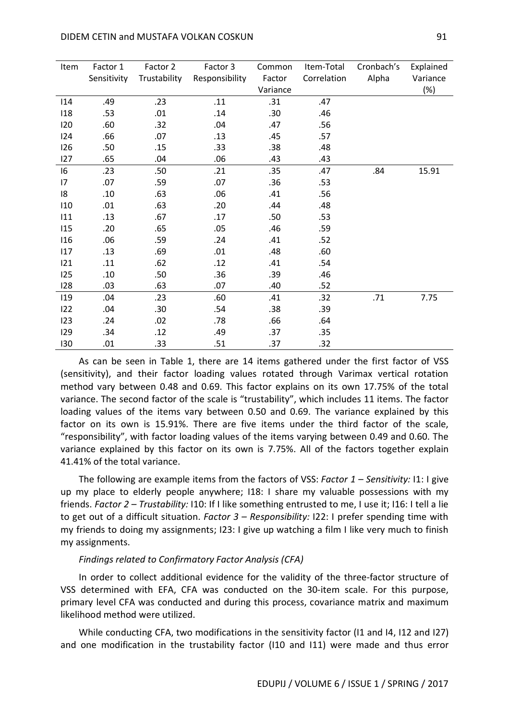| Item | Factor 1    | Factor 2     | Factor 3       | Common   | Item-Total  | Cronbach's | Explained |
|------|-------------|--------------|----------------|----------|-------------|------------|-----------|
|      | Sensitivity | Trustability | Responsibility | Factor   | Correlation | Alpha      | Variance  |
|      |             |              |                | Variance |             |            | (%)       |
| 114  | .49         | .23          | .11            | .31      | .47         |            |           |
| 118  | .53         | .01          | .14            | .30      | .46         |            |           |
| 120  | .60         | .32          | .04            | .47      | .56         |            |           |
| 124  | .66         | .07          | .13            | .45      | .57         |            |           |
| 126  | .50         | .15          | .33            | .38      | .48         |            |           |
| 127  | .65         | .04          | .06            | .43      | .43         |            |           |
| 16   | .23         | .50          | .21            | .35      | .47         | .84        | 15.91     |
| 17   | .07         | .59          | .07            | .36      | .53         |            |           |
| 18   | .10         | .63          | .06            | .41      | .56         |            |           |
| 110  | .01         | .63          | .20            | .44      | .48         |            |           |
| 111  | .13         | .67          | .17            | .50      | .53         |            |           |
| 115  | .20         | .65          | .05            | .46      | .59         |            |           |
| 116  | .06         | .59          | .24            | .41      | .52         |            |           |
| 117  | .13         | .69          | .01            | .48      | .60         |            |           |
| 121  | .11         | .62          | .12            | .41      | .54         |            |           |
| 125  | .10         | .50          | .36            | .39      | .46         |            |           |
| 128  | .03         | .63          | .07            | .40      | .52         |            |           |
| 119  | .04         | .23          | .60            | .41      | .32         | .71        | 7.75      |
| 122  | .04         | .30          | .54            | .38      | .39         |            |           |
| 123  | .24         | .02          | .78            | .66      | .64         |            |           |
| 129  | .34         | .12          | .49            | .37      | .35         |            |           |
| 130  | .01         | .33          | .51            | .37      | .32         |            |           |

As can be seen in Table 1, there are 14 items gathered under the first factor of VSS (sensitivity), and their factor loading values rotated through Varimax vertical rotation method vary between 0.48 and 0.69. This factor explains on its own 17.75% of the total variance. The second factor of the scale is "trustability", which includes 11 items. The factor loading values of the items vary between 0.50 and 0.69. The variance explained by this factor on its own is 15.91%. There are five items under the third factor of the scale, "responsibility", with factor loading values of the items varying between 0.49 and 0.60. The variance explained by this factor on its own is 7.75%. All of the factors together explain 41.41% of the total variance.

The following are example items from the factors of VSS: *Factor 1 – Sensitivity:* I1: I give up my place to elderly people anywhere; I18: I share my valuable possessions with my friends. *Factor 2 – Trustability:* I10: If I like something entrusted to me, I use it; I16: I tell a lie to get out of a difficult situation. *Factor 3 – Responsibility:* I22: I prefer spending time with my friends to doing my assignments; I23: I give up watching a film I like very much to finish my assignments.

#### *Findings related to Confirmatory Factor Analysis (CFA)*

In order to collect additional evidence for the validity of the three-factor structure of VSS determined with EFA, CFA was conducted on the 30-item scale. For this purpose, primary level CFA was conducted and during this process, covariance matrix and maximum likelihood method were utilized.

While conducting CFA, two modifications in the sensitivity factor (I1 and I4, I12 and I27) and one modification in the trustability factor (I10 and I11) were made and thus error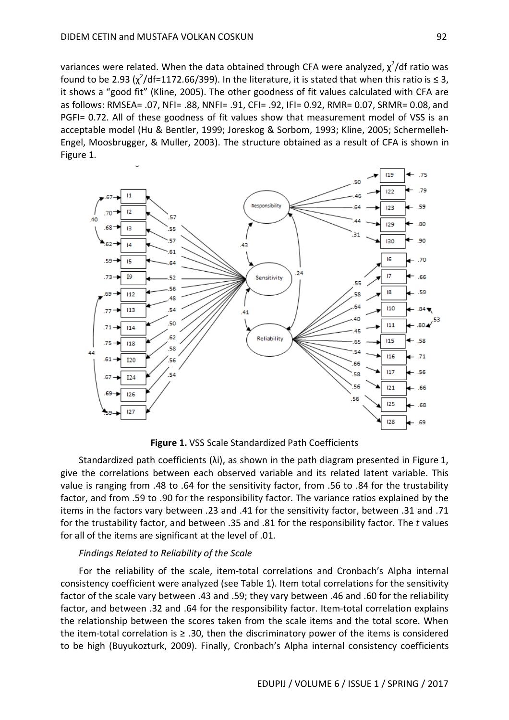variances were related. When the data obtained through CFA were analyzed,  $\chi^2$ /df ratio was found to be 2.93 ( $\chi^2$ /df=1172.66/399). In the literature, it is stated that when this ratio is  $\leq$  3, it shows a "good fit" (Kline, 2005). The other goodness of fit values calculated with CFA are as follows: RMSEA= .07, NFI= .88, NNFI= .91, CFI= .92, IFI= 0.92, RMR= 0.07, SRMR= 0.08, and PGFI= 0.72. All of these goodness of fit values show that measurement model of VSS is an acceptable model (Hu & Bentler, 1999; Joreskog & Sorbom, 1993; Kline, 2005; Schermelleh-Engel, Moosbrugger, & Muller, 2003). The structure obtained as a result of CFA is shown in Figure 1.



**Figure 1.** VSS Scale Standardized Path Coefficients

Standardized path coefficients ( $\lambda$ i), as shown in the path diagram presented in Figure 1, give the correlations between each observed variable and its related latent variable. This value is ranging from .48 to .64 for the sensitivity factor, from .56 to .84 for the trustability factor, and from .59 to .90 for the responsibility factor. The variance ratios explained by the items in the factors vary between .23 and .41 for the sensitivity factor, between .31 and .71 for the trustability factor, and between .35 and .81 for the responsibility factor. The *t* values for all of the items are significant at the level of .01.

#### *Findings Related to Reliability of the Scale*

For the reliability of the scale, item-total correlations and Cronbach's Alpha internal consistency coefficient were analyzed (see Table 1). Item total correlations for the sensitivity factor of the scale vary between .43 and .59; they vary between .46 and .60 for the reliability factor, and between .32 and .64 for the responsibility factor. Item-total correlation explains the relationship between the scores taken from the scale items and the total score. When the item-total correlation is  $\geq$  .30, then the discriminatory power of the items is considered to be high (Buyukozturk, 2009). Finally, Cronbach's Alpha internal consistency coefficients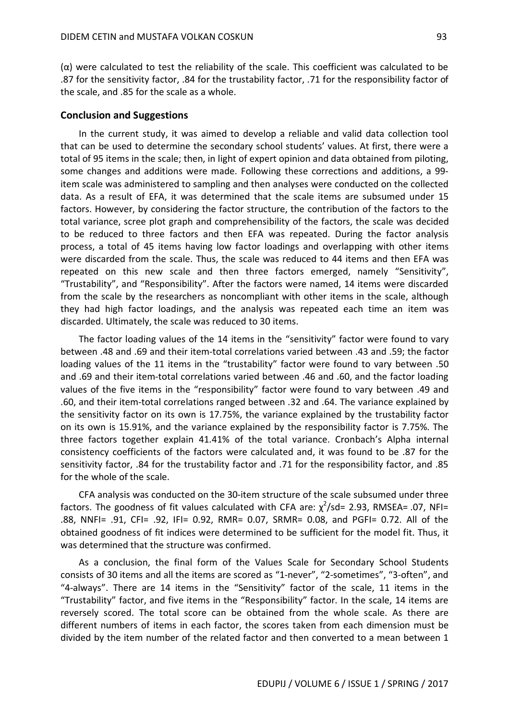(α) were calculated to test the reliability of the scale. This coefficient was calculated to be .87 for the sensitivity factor, .84 for the trustability factor, .71 for the responsibility factor of the scale, and .85 for the scale as a whole.

#### **Conclusion and Suggestions**

In the current study, it was aimed to develop a reliable and valid data collection tool that can be used to determine the secondary school students' values. At first, there were a total of 95 items in the scale; then, in light of expert opinion and data obtained from piloting, some changes and additions were made. Following these corrections and additions, a 99 item scale was administered to sampling and then analyses were conducted on the collected data. As a result of EFA, it was determined that the scale items are subsumed under 15 factors. However, by considering the factor structure, the contribution of the factors to the total variance, scree plot graph and comprehensibility of the factors, the scale was decided to be reduced to three factors and then EFA was repeated. During the factor analysis process, a total of 45 items having low factor loadings and overlapping with other items were discarded from the scale. Thus, the scale was reduced to 44 items and then EFA was repeated on this new scale and then three factors emerged, namely "Sensitivity", "Trustability", and "Responsibility". After the factors were named, 14 items were discarded from the scale by the researchers as noncompliant with other items in the scale, although they had high factor loadings, and the analysis was repeated each time an item was discarded. Ultimately, the scale was reduced to 30 items.

The factor loading values of the 14 items in the "sensitivity" factor were found to vary between .48 and .69 and their item-total correlations varied between .43 and .59; the factor loading values of the 11 items in the "trustability" factor were found to vary between .50 and .69 and their item-total correlations varied between .46 and .60, and the factor loading values of the five items in the "responsibility" factor were found to vary between .49 and .60, and their item-total correlations ranged between .32 and .64. The variance explained by the sensitivity factor on its own is 17.75%, the variance explained by the trustability factor on its own is 15.91%, and the variance explained by the responsibility factor is 7.75%. The three factors together explain 41.41% of the total variance. Cronbach's Alpha internal consistency coefficients of the factors were calculated and, it was found to be .87 for the sensitivity factor, .84 for the trustability factor and .71 for the responsibility factor, and .85 for the whole of the scale.

CFA analysis was conducted on the 30-item structure of the scale subsumed under three factors. The goodness of fit values calculated with CFA are:  $\chi^2$ /sd= 2.93, RMSEA= .07, NFI= .88, NNFI= .91, CFI= .92, IFI= 0.92, RMR= 0.07, SRMR= 0.08, and PGFI= 0.72. All of the obtained goodness of fit indices were determined to be sufficient for the model fit. Thus, it was determined that the structure was confirmed.

As a conclusion, the final form of the Values Scale for Secondary School Students consists of 30 items and all the items are scored as "1-never", "2-sometimes", "3-often", and "4-always". There are 14 items in the "Sensitivity" factor of the scale, 11 items in the "Trustability" factor, and five items in the "Responsibility" factor. In the scale, 14 items are reversely scored. The total score can be obtained from the whole scale. As there are different numbers of items in each factor, the scores taken from each dimension must be divided by the item number of the related factor and then converted to a mean between 1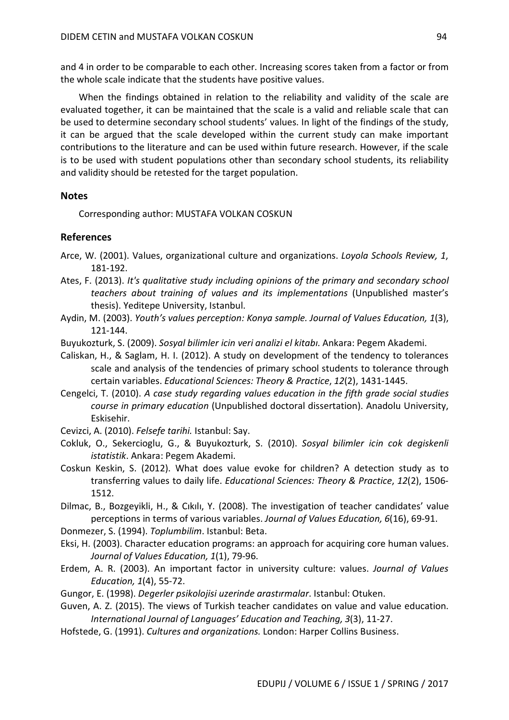and 4 in order to be comparable to each other. Increasing scores taken from a factor or from the whole scale indicate that the students have positive values.

When the findings obtained in relation to the reliability and validity of the scale are evaluated together, it can be maintained that the scale is a valid and reliable scale that can be used to determine secondary school students' values. In light of the findings of the study, it can be argued that the scale developed within the current study can make important contributions to the literature and can be used within future research. However, if the scale is to be used with student populations other than secondary school students, its reliability and validity should be retested for the target population.

### **Notes**

Corresponding author: MUSTAFA VOLKAN COSKUN

## **References**

- Arce, W. (2001). Values, organizational culture and organizations. *Loyola Schools Review, 1*, 181-192.
- Ates, F. (2013). *It's qualitative study including opinions of the primary and secondary school teachers about training of values and its implementations* (Unpublished master's thesis). Yeditepe University, Istanbul.
- Aydin, M. (2003). *Youth's values perception: Konya sample. Journal of Values Education, 1*(3), 121-144.
- Buyukozturk, S. (2009). *Sosyal bilimler icin veri analizi el kitabı*. Ankara: Pegem Akademi.
- Caliskan, H., & Saglam, H. I. (2012). A study on development of the tendency to tolerances scale and analysis of the tendencies of primary school students to tolerance through certain variables. *Educational Sciences: Theory & Practice*, *12*(2), 1431-1445.
- Cengelci, T. (2010). *A case study regarding values education in the fifth grade social studies course in primary education* (Unpublished doctoral dissertation). Anadolu University, Eskisehir.
- Cevizci, A. (2010). *Felsefe tarihi.* Istanbul: Say.
- Cokluk, O., Sekercioglu, G., & Buyukozturk, S. (2010). *Sosyal bilimler icin cok degiskenli istatistik*. Ankara: Pegem Akademi.
- Coskun Keskin, S. (2012). What does value evoke for children? A detection study as to transferring values to daily life. *Educational Sciences: Theory & Practice*, *12*(2), 1506- 1512.
- Dilmac, B., Bozgeyikli, H., & Cıkılı, Y. (2008). The investigation of teacher candidates' value perceptions in terms of various variables. *Journal of Values Education, 6*(16), 69-91.
- Donmezer, S. (1994). *Toplumbilim*. Istanbul: Beta.
- Eksi, H. (2003). Character education programs: an approach for acquiring core human values. *Journal of Values Education, 1*(1), 79-96.
- Erdem, A. R. (2003). An important factor in university culture: values. *Journal of Values Education, 1*(4), 55-72.
- Gungor, E. (1998). *Degerler psikolojisi uzerinde arastırmalar*. Istanbul: Otuken.
- Guven, A. Z. (2015). The views of Turkish teacher candidates on value and value education. *International Journal of Languages' Education and Teaching, 3*(3), 11-27.
- Hofstede, G. (1991). *Cultures and organizations.* London: Harper Collins Business.